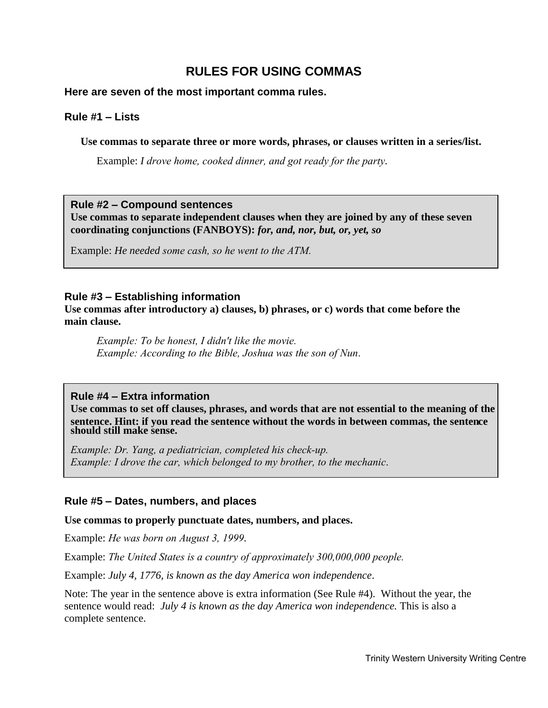# **RULES FOR USING COMMAS**

#### **Here are seven of the most important comma rules.**

#### **Rule #1 – Lists**

**Use commas to separate three or more words, phrases, or clauses written in a series/list.** 

Example: *I drove home, cooked dinner, and got ready for the party.*

**Rule #2 – Compound sentences** 

**Use commas to separate independent clauses when they are joined by any of these seven coordinating conjunctions (FANBOYS):** *for, and, nor, but, or, yet, so* 

Example: *He needed some cash, so he went to the ATM.*

#### **Rule #3 – Establishing information**

**Use commas after introductory a) clauses, b) phrases, or c) words that come before the main clause.** 

*Example: To be honest, I didn't like the movie. Example: According to the Bible, Joshua was the son of Nun*.

#### **Rule #4 – Extra information**

Use commas to set off clauses, phrases, and words that are not essential to the meaning of the **sentence. Hint: if you read the sentence without the words in between commas, the sentence should still make sense.** 

*Example: Dr. Yang, a pediatrician, completed his check-up. Example: I drove the car, which belonged to my brother, to the mechanic*.

## **Rule #5 – Dates, numbers, and places**

#### **Use commas to properly punctuate dates, numbers, and places.**

Example: *He was born on August 3, 1999.*

Example: *The United States is a country of approximately 300,000,000 people.* 

Example: *July 4, 1776, is known as the day America won independence*.

Note: The year in the sentence above is extra information (See Rule #4). Without the year, the sentence would read: *July 4 is known as the day America won independence.* This is also a complete sentence.